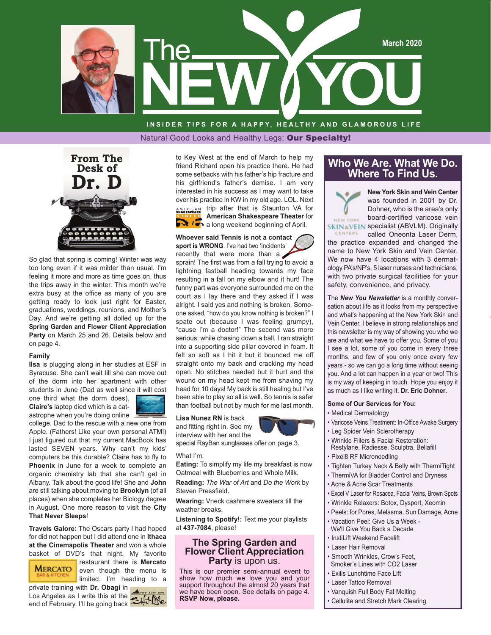

**INSIDER TIPS FOR A HAPPY, HEALTHY AND GLAMOROUS LIFE** Natural Good Looks and Healthy Legs: Our Specialty!



So glad that spring is coming! Winter was way too long even if it was milder than usual. I'm feeling it more and more as time goes on, thus the trips away in the winter. This month we're extra busy at the office as many of you are getting ready to look just right for Easter, graduations, weddings, reunions, and Mother's Day. And we're getting all dolled up for the **Spring Garden and Flower Client Appreciation Party** on March 25 and 26. Details below and on page 4.

#### **Family**

**Ilsa** is plugging along in her studies at ESF in Syracuse. She can't wait till she can move out of the dorm into her apartment with other students in June (Dad as well since it will cost

one third what the dorm does). **Claire's** laptop died which is a catastrophe when you're doing online



college. Dad to the rescue with a new one from Apple. (Fathers! Like your own personal ATM!) I just figured out that my current MacBook has lasted SEVEN years. Why can't my kids' computers be this durable? Claire has to fly to **Phoenix** in June for a week to complete an organic chemistry lab that she can't get in Albany. Talk about the good life! She and **John**  are still talking about moving to **Brooklyn** (of all places) when she completes her Biology degree in August. One more reason to visit the **City That Never Sleeps**!

**Travels Galore:** The Oscars party I had hoped for did not happen but I did attend one in **Ithaca at the Cinemapolis Theater** and won a whole basket of DVD's that night. My favorite



restaurant there is **Mercato** even though the menu is limited. I'm heading to a

private training with **Dr. Obagi** in Los Angeles as I write this at the end of February. I'll be going back

to Key West at the end of March to help my friend Richard open his practice there. He had some setbacks with his father's hip fracture and his girlfriend's father's demise. I am very interested in his success as I may want to take over his practice in KW in my old age. LOL. Next **SMAERICAN** trip after that is Staunton VA for **American Shakespeare Theater** for a long weekend beginning of April.

**Whoever said Tennis is not a contact sport is WRONG**. I've had two 'incidents'

recently that were more than a sprain! The first was from a fall trying to avoid a lightning fastball heading towards my face resulting in a fall on my elbow and it hurt! The funny part was everyone surrounded me on the court as I lay there and they asked if I was alright. I said yes and nothing is broken. Someone asked, "how do you know nothing is broken?" I spate out (because I was feeling grumpy), "cause I'm a doctor!" The second was more serious: while chasing down a ball, I ran straight into a supporting side pillar covered in foam. It felt so soft as I hit it but it bounced me off straight onto my back and cracking my head open. No stitches needed but it hurt and the wound on my head kept me from shaving my head for 10 days! My back is still healing but I've been able to play so all is well. So tennis is safer than football but not by much for me last month.

#### **Lisa Nunez RN** is back

and fitting right in. See my interview with her and the



special RayBan sunglasses offer on page 3.

#### What I'm:

**Eating:** To simplify my life my breakfast is now Oatmeal with Blueberries and Whole Milk.

**Reading:** *The War of Art* and *Do the Work* by Steven Pressfield.

**Wearing:** Vneck cashmere sweaters till the weather breaks.

**Listening to Spotify!:** Text me your playlists at **437-7084**, please!

#### **The Spring Garden and Flower Client Appreciation Party** is upon us.

This is our premier semi-annual event to show how much we love you and your support throughout the almost 20 years that we have been open. See details on page 4. **RSVP Now, please.** 

#### **Who We Are. What We Do. Where To Find Us.**

**New York Skin and Vein Center** was founded in 2001 by Dr. Dohner, who is the area's only board-certified varicose vein **SKIN&VEIN specialist (ABVLM). Originally** 

CENTERS called Oneonta Laser Derm, the practice expanded and changed the name to New York Skin and Vein Center. We now have 4 locations with 3 dermatology PA's/NP's, 5 laser nurses and technicians, with two private surgical facilities for your safety, convenience, and privacy.

The *New You Newsletter* is a monthly conversation about life as it looks from my perspective and what's happening at the New York Skin and Vein Center. I believe in strong relationships and this newsletter is my way of showing you who we are and what we have to offer you. Some of you I see a lot, some of you come in every three months, and few of you only once every few years - so we can go a long time without seeing you. And a lot can happen in a year or two! This is my way of keeping in touch. Hope you enjoy it as much as I like writing it. **Dr. Eric Dohner**.

#### **Some of Our Services for You:**

• Medical Dermatology

NEW YORK

- Varicose Veins Treatment: In-Office Awake Surgery
- Leg Spider Vein Sclerotherapy
- Wrinkle Fillers & Facial Restoration: Restylane, Radiesse, Sculptra, Bellafill
- Pixel8 RF Microneedling
- Tighten Turkey Neck & Belly with ThermiTight
- ThermiVA for Bladder Control and Dryness
- Acne & Acne Scar Treatments
- Excel V Laser for Rosacea, Facial Veins, Brown Spots
- Wrinkle Relaxers: Botox, Dysport, Xeomin
- Peels: for Pores, Melasma, Sun Damage, Acne
- Vacation Peel: Give Us a Week We'll Give You Back a Decade
- InstiLift Weekend Facelift
- Laser Hair Removal
- Smooth Wrinkles, Crow's Feet, Smoker's Lines with CO2 Laser
- Exilis Lunchtime Face Lift
- Laser Tattoo Removal
- Vanquish Full Body Fat Melting
- Cellulite and Stretch Mark Clearing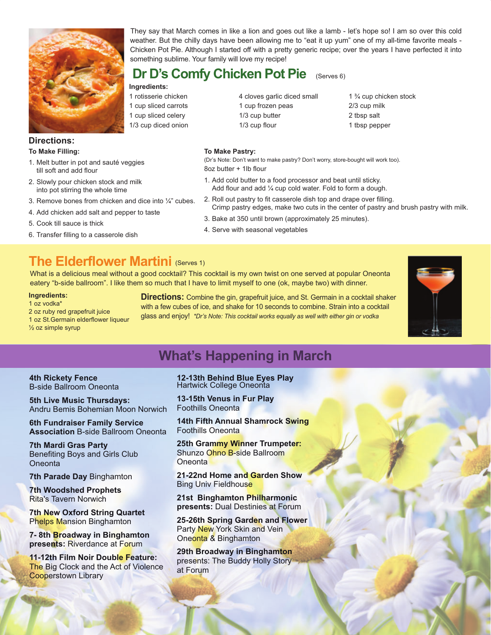

#### **Directions: To Make Filling:**

- 1. Melt butter in pot and sauté veggies till soft and add flour
- 2. Slowly pour chicken stock and milk into pot stirring the whole time
- 3. Remove bones from chicken and dice into  $\frac{1}{4}$ " cubes.

**Ingredients:** 1 rotisserie chicken 1 cup sliced carrots 1 cup sliced celery 1/3 cup diced onion

- 4. Add chicken add salt and pepper to taste
- 5. Cook till sauce is thick
- 6. Transfer filling to a casserole dish

**To Make Pastry:** 

**Dr D's Comfy Chicken Pot Pie**

something sublime. Your family will love my recipe!

(Dr's Note: Don't want to make pastry? Don't worry, store-bought will work too). 8oz butter + 1lb flour

1. Add cold butter to a food processor and beat until sticky. Add flour and add ¼ cup cold water. Fold to form a dough.

They say that March comes in like a lion and goes out like a lamb - let's hope so! I am so over this cold weather. But the chilly days have been allowing me to "eat it up yum" one of my all-time favorite meals - Chicken Pot Pie. Although I started off with a pretty generic recipe; over the years I have perfected it into

- 2. Roll out pastry to fit casserole dish top and drape over filling. Crimp pastry edges, make two cuts in the center of pastry and brush pastry with milk.
- 3. Bake at 350 until brown (approximately 25 minutes).
- 4. Serve with seasonal vegetables

1/3 cup butter 1/3 cup flour

### **The Elderflower Martini (Serves 1)**

What is a delicious meal without a good cocktail? This cocktail is my own twist on one served at popular Oneonta eatery "b-side ballroom". I like them so much that I have to limit myself to one (ok, maybe two) with dinner.

#### **Ingredients:**

1 oz vodka\* 2 oz ruby red grapefruit juice 1 oz St.Germain elderflower liqueur  $\frac{1}{2}$  oz simple syrup

**Directions:** Combine the gin, grapefruit juice, and St. Germain in a cocktail shaker with a few cubes of ice, and shake for 10 seconds to combine. Strain into a cocktail glass and enjoy! *\*Dr's Note: This cocktail works equally as well with either gin or vodka*



## **What's Happening in March**

#### **4th Rickety Fence** B-side Ballroom Oneonta

**5th Live Music Thursdays:** Andru Bemis Bohemian Moon Norwich

**6th Fundraiser Family Service Association** B-side Ballroom Oneonta

**7th Mardi Gras Party**  Benefiting Boys and Girls Club **Oneonta** 

**7th Parade Day** Binghamton

**7th Woodshed Prophets** Rita's Tavern Norwich

**7th New Oxford String Quartet Phelps Mansion Binghamton** 

**7- 8th Broadway in Binghamton presents:** Riverdance at Forum

**11-12th Film Noir Double Feature: The Big Clock and the Act of Violence** Cooperstown Library

**12-13th Behind Blue Eyes Play**  Hartwick College Oneonta

**13-15th Venus in Fur Play**  Foothills Oneonta

**14th Fifth Annual Shamrock Swing**  Foothills Oneonta

**25th Grammy Winner Trumpeter:**  Shunzo Ohno B-side Ballroom **Oneonta** 

**21-22nd Home and Garden Show** Bing Univ Fieldhouse

**21st Binghamton Philharmonic presents:** Dual Destinies at Forum

**25-26th Spring Garden and Flower** Party New York Skin and Vein Oneonta & Binghamton

**29th Broadway in Binghamton**  presents: The Buddy Holly Story at Forum

4 cloves garlic diced small 1 cup frozen peas

(Serves 6)

1 ¾ cup chicken stock 2/3 cup milk 2 tbsp salt 1 tbsp pepper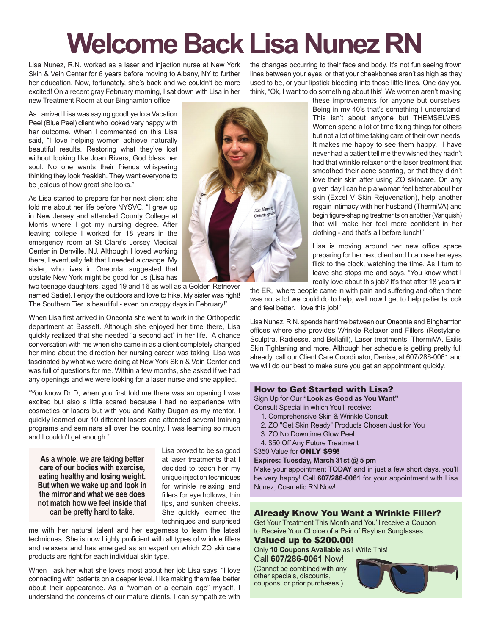# **Welcome Back Lisa Nunez RN**

Lisa Nunez, R.N. worked as a laser and injection nurse at New York Skin & Vein Center for 6 years before moving to Albany, NY to further her education. Now, fortunately, she's back and we couldn't be more excited! On a recent gray February morning, I sat down with Lisa in her new Treatment Room at our Binghamton office.

the changes occurring to their face and body. It's not fun seeing frown lines between your eyes, or that your cheekbones aren't as high as they used to be, or your lipstick bleeding into those little lines. One day you think, "Ok, I want to do something about this" We women aren't making

As I arrived Lisa was saying goodbye to a Vacation Peel (Blue Peel) client who looked very happy with her outcome. When I commented on this Lisa said, "I love helping women achieve naturally beautiful results. Restoring what they've lost without looking like Joan Rivers, God bless her soul. No one wants their friends whispering thinking they look freakish. They want everyone to be jealous of how great she looks."

As Lisa started to prepare for her next client she told me about her life before NYSVC. "I grew up in New Jersey and attended County College at Morris where I got my nursing degree. After leaving college I worked for 18 years in the emergency room at St Clare's Jersey Medical Center in Denville, NJ. Although I loved working there, I eventually felt that I needed a change. My sister, who lives in Oneonta, suggested that upstate New York might be good for us (Lisa has

two teenage daughters, aged 19 and 16 as well as a Golden Retriever named Sadie). I enjoy the outdoors and love to hike. My sister was right! The Southern Tier is beautiful - even on crappy days in February!"

When Lisa first arrived in Oneonta she went to work in the Orthopedic department at Bassett. Although she enjoyed her time there, Lisa quickly realized that she needed "a second act" in her life. A chance conversation with me when she came in as a client completely changed her mind about the direction her nursing career was taking. Lisa was fascinated by what we were doing at New York Skin & Vein Center and was full of questions for me. Within a few months, she asked if we had any openings and we were looking for a laser nurse and she applied.

"You know Dr D, when you first told me there was an opening I was excited but also a little scared because I had no experience with cosmetics or lasers but with you and Kathy Dugan as my mentor, I quickly learned our 10 different lasers and attended several training programs and seminars all over the country. I was learning so much and I couldn't get enough."

**As a whole, we are taking better care of our bodies with exercise, eating healthy and losing weight. But when we wake up and look in the mirror and what we see does not match how we feel inside that can be pretty hard to take.**

Lisa proved to be so good at laser treatments that I decided to teach her my unique injection techniques for wrinkle relaxing and fillers for eye hollows, thin lips, and sunken cheeks. She quickly learned the techniques and surprised

me with her natural talent and her eagerness to learn the latest techniques. She is now highly proficient with all types of wrinkle fillers and relaxers and has emerged as an expert on which ZO skincare products are right for each individual skin type.

When I ask her what she loves most about her job Lisa says, "I love connecting with patients on a deeper level. I like making them feel better about their appearance. As a "woman of a certain age" myself, I understand the concerns of our mature clients. I can sympathize with



these improvements for anyone but ourselves. Being in my 40's that's something I understand. This isn't about anyone but THEMSELVES. Women spend a lot of time fixing things for others but not a lot of time taking care of their own needs. It makes me happy to see them happy. I have never had a patient tell me they wished they hadn't had that wrinkle relaxer or the laser treatment that smoothed their acne scarring, or that they didn't love their skin after using ZO skincare. On any given day I can help a woman feel better about her skin (Excel V Skin Rejuvenation), help another regain intimacy with her husband (ThermiVA) and begin figure-shaping treatments on another (Vanquish) that will make her feel more confident in her clothing - and that's all before lunch!"

Lisa is moving around her new office space preparing for her next client and I can see her eyes flick to the clock, watching the time. As I turn to leave she stops me and says, "You know what I really love about this job? It's that after 18 years in

the ER, where people came in with pain and suffering and often there was not a lot we could do to help, well now I get to help patients look and feel better. I love this job!"

Lisa Nunez, R.N. spends her time between our Oneonta and Binghamton offices where she provides Wrinkle Relaxer and Fillers (Restylane, Sculptra, Radiesse, and Bellafill), Laser treatments, ThermiVA, Exilis Skin Tightening and more. Although her schedule is getting pretty full already, call our Client Care Coordinator, Denise, at 607/286-0061 and we will do our best to make sure you get an appointment quickly.

#### How to Get Started with Lisa?

Sign Up for Our **"Look as Good as You Want"** 

- Consult Special in which You'll receive:
	- 1. Comprehensive Skin & Wrinkle Consult
	- 2. ZO "Get Skin Ready" Products Chosen Just for You
	- 3. ZO No Downtime Glow Peel
	- 4. \$50 Off Any Future Treatment

\$350 Value for **ONLY \$99!** 

**Expires: Tuesday, March 31st @ 5 pm**

Make your appointment **TODAY** and in just a few short days, you'll be very happy! Call **607/286-0061** for your appointment with Lisa Nunez, Cosmetic RN Now!

#### Already Know You Want a Wrinkle Filler?

Get Your Treatment This Month and You'll receive a Coupon to Receive Your Choice of a Pair of Rayban Sunglasses

Valued up to \$200.00!

Only **10 Coupons Available** as I Write This! Call **607/286-0061** Now!

(Cannot be combined with any other specials, discounts, coupons, or prior purchases.)